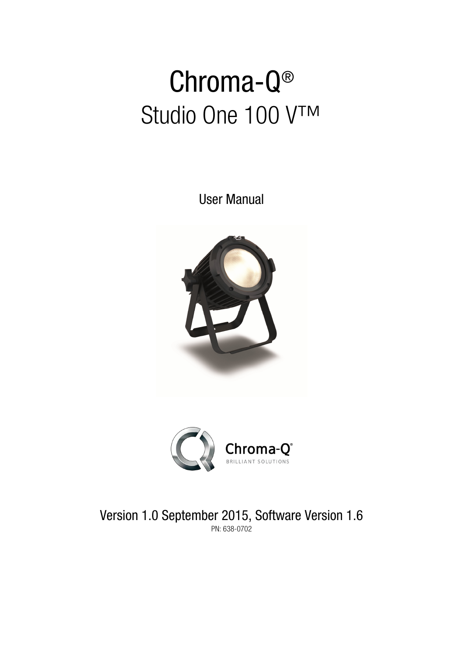# Chroma-Q® Studio One 100 V™

User Manual





Version 1.0 September 2015, Software Version 1.6 PN: 638-0702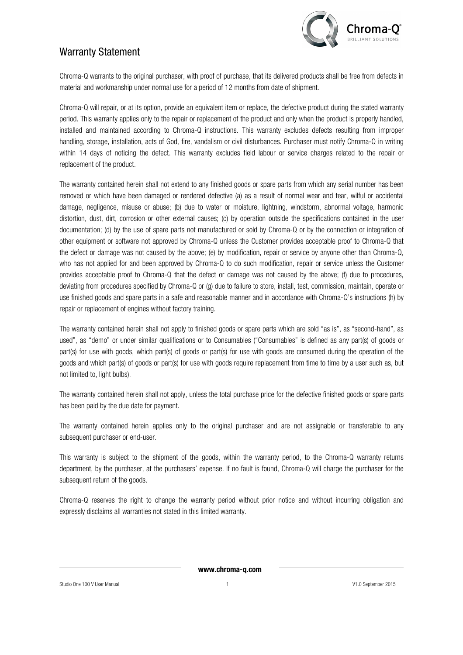

## Warranty Statement

Chroma-Q warrants to the original purchaser, with proof of purchase, that its delivered products shall be free from defects in material and workmanship under normal use for a period of 12 months from date of shipment.

Chroma-Q will repair, or at its option, provide an equivalent item or replace, the defective product during the stated warranty period. This warranty applies only to the repair or replacement of the product and only when the product is properly handled, installed and maintained according to Chroma-Q instructions. This warranty excludes defects resulting from improper handling, storage, installation, acts of God, fire, vandalism or civil disturbances. Purchaser must notify Chroma-Q in writing within 14 days of noticing the defect. This warranty excludes field labour or service charges related to the repair or replacement of the product.

The warranty contained herein shall not extend to any finished goods or spare parts from which any serial number has been removed or which have been damaged or rendered defective (a) as a result of normal wear and tear, wilful or accidental damage, negligence, misuse or abuse; (b) due to water or moisture, lightning, windstorm, abnormal voltage, harmonic distortion, dust, dirt, corrosion or other external causes; (c) by operation outside the specifications contained in the user documentation; (d) by the use of spare parts not manufactured or sold by Chroma-Q or by the connection or integration of other equipment or software not approved by Chroma-Q unless the Customer provides acceptable proof to Chroma-Q that the defect or damage was not caused by the above; (e) by modification, repair or service by anyone other than Chroma-Q, who has not applied for and been approved by Chroma-Q to do such modification, repair or service unless the Customer provides acceptable proof to Chroma-Q that the defect or damage was not caused by the above; (f) due to procedures, deviating from procedures specified by Chroma-Q or (g) due to failure to store, install, test, commission, maintain, operate or use finished goods and spare parts in a safe and reasonable manner and in accordance with Chroma-Q's instructions (h) by repair or replacement of engines without factory training.

The warranty contained herein shall not apply to finished goods or spare parts which are sold "as is", as "second-hand", as used", as "demo" or under similar qualifications or to Consumables ("Consumables" is defined as any part(s) of goods or part(s) for use with goods, which part(s) of goods or part(s) for use with goods are consumed during the operation of the goods and which part(s) of goods or part(s) for use with goods require replacement from time to time by a user such as, but not limited to, light bulbs).

The warranty contained herein shall not apply, unless the total purchase price for the defective finished goods or spare parts has been paid by the due date for payment.

The warranty contained herein applies only to the original purchaser and are not assignable or transferable to any subsequent purchaser or end-user.

This warranty is subject to the shipment of the goods, within the warranty period, to the Chroma-Q warranty returns department, by the purchaser, at the purchasers' expense. If no fault is found, Chroma-Q will charge the purchaser for the subsequent return of the goods.

Chroma-Q reserves the right to change the warranty period without prior notice and without incurring obligation and expressly disclaims all warranties not stated in this limited warranty.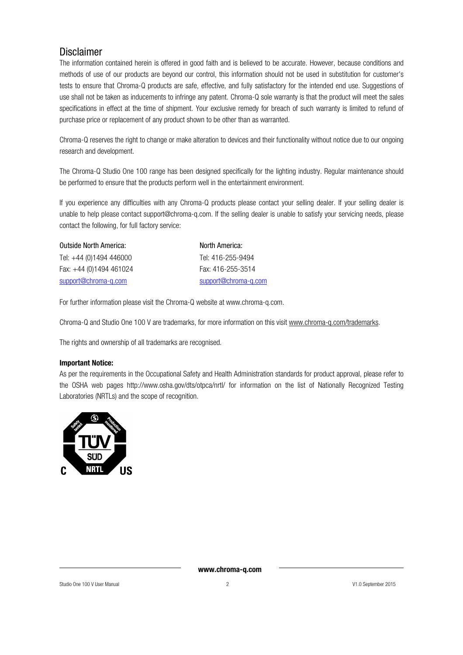## Disclaimer

The information contained herein is offered in good faith and is believed to be accurate. However, because conditions and methods of use of our products are beyond our control, this information should not be used in substitution for customer's tests to ensure that Chroma-Q products are safe, effective, and fully satisfactory for the intended end use. Suggestions of use shall not be taken as inducements to infringe any patent. Chroma-Q sole warranty is that the product will meet the sales specifications in effect at the time of shipment. Your exclusive remedy for breach of such warranty is limited to refund of purchase price or replacement of any product shown to be other than as warranted.

Chroma-Q reserves the right to change or make alteration to devices and their functionality without notice due to our ongoing research and development.

The Chroma-Q Studio One 100 range has been designed specifically for the lighting industry. Regular maintenance should be performed to ensure that the products perform well in the entertainment environment.

If you experience any difficulties with any Chroma-Q products please contact your selling dealer. If your selling dealer is unable to help please contact support@chroma-q.com. If the selling dealer is unable to satisfy your servicing needs, please contact the following, for full factory service:

| <b>Outside North America:</b> | North America:       |
|-------------------------------|----------------------|
| Tel: +44 (0)1494 446000       | Tel: 416-255-9494    |
| Fax: $+44$ (0)1494 461024     | Fax: 416-255-3514    |
| support@chroma-q.com          | support@chroma-q.com |

For further information please visit the Chroma-Q website at www.chroma-q.com.

Chroma-Q and Studio One 100 V are trademarks, for more information on this visit www.chroma-q.com/trademarks.

The rights and ownership of all trademarks are recognised.

#### Important Notice:

As per the requirements in the Occupational Safety and Health Administration standards for product approval, please refer to the OSHA web pages http://www.osha.gov/dts/otpca/nrtl/ for information on the list of Nationally Recognized Testing Laboratories (NRTLs) and the scope of recognition.

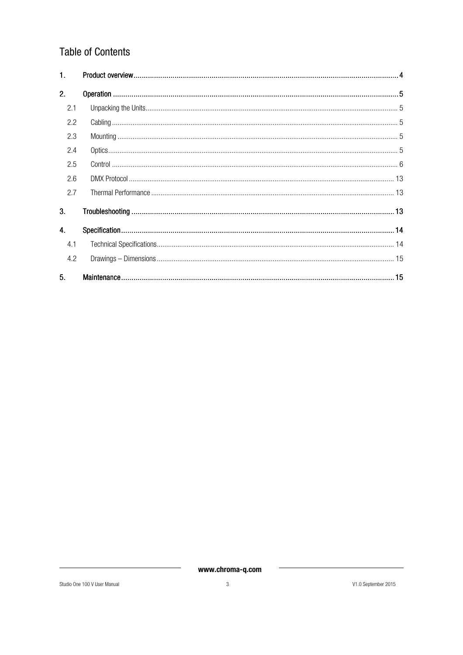## **Table of Contents**

| 1.  |  |
|-----|--|
| 2.  |  |
| 2.1 |  |
| 2.2 |  |
| 2.3 |  |
| 2.4 |  |
| 2.5 |  |
| 2.6 |  |
| 2.7 |  |
| 3.  |  |
| 4.  |  |
| 4.1 |  |
| 4.2 |  |
| 5.  |  |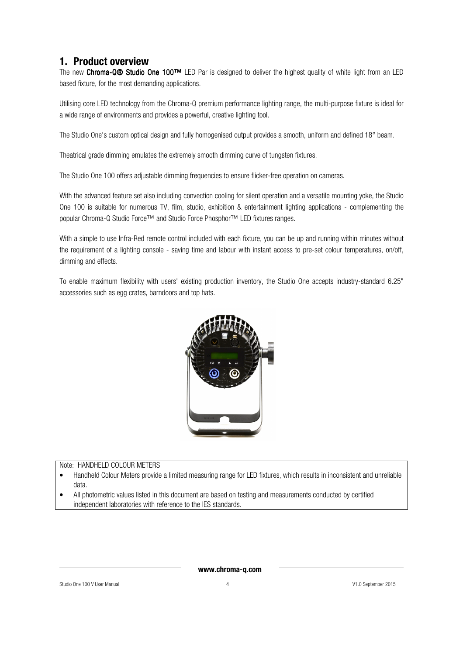## 1. Product overview

The new Chroma-Q® Studio One 100™ LED Par is designed to deliver the highest quality of white light from an LED based fixture, for the most demanding applications.

Utilising core LED technology from the Chroma-Q premium performance lighting range, the multi-purpose fixture is ideal for a wide range of environments and provides a powerful, creative lighting tool.

The Studio One's custom optical design and fully homogenised output provides a smooth, uniform and defined 18° beam.

Theatrical grade dimming emulates the extremely smooth dimming curve of tungsten fixtures.

The Studio One 100 offers adjustable dimming frequencies to ensure flicker-free operation on cameras.

With the advanced feature set also including convection cooling for silent operation and a versatile mounting yoke, the Studio One 100 is suitable for numerous TV, film, studio, exhibition & entertainment lighting applications - complementing the popular Chroma-Q Studio Force<sup>™</sup> and Studio Force Phosphor™ LED fixtures ranges.

With a simple to use Infra-Red remote control included with each fixture, you can be up and running within minutes without the requirement of a lighting console - saving time and labour with instant access to pre-set colour temperatures, on/off, dimming and effects.

To enable maximum flexibility with users' existing production inventory, the Studio One accepts industry-standard 6.25" accessories such as egg crates, barndoors and top hats.



#### Note: HANDHELD COLOUR METERS

- Handheld Colour Meters provide a limited measuring range for LED fixtures, which results in inconsistent and unreliable data.
- All photometric values listed in this document are based on testing and measurements conducted by certified independent laboratories with reference to the IES standards.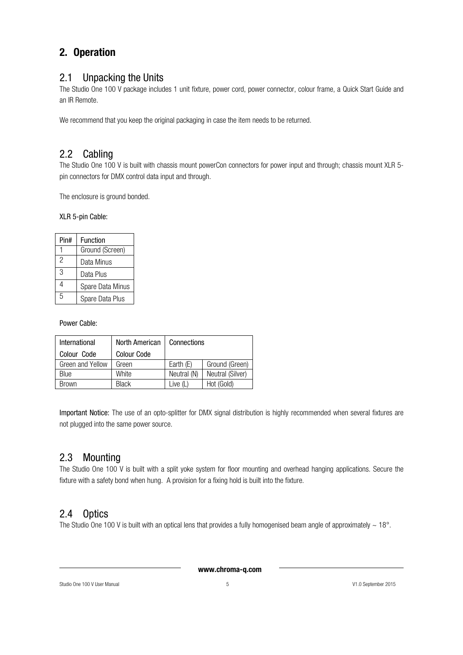## 2. Operation

## 2.1 Unpacking the Units

The Studio One 100 V package includes 1 unit fixture, power cord, power connector, colour frame, a Quick Start Guide and an IR Remote.

We recommend that you keep the original packaging in case the item needs to be returned.

## 2.2 Cabling

The Studio One 100 V is built with chassis mount powerCon connectors for power input and through; chassis mount XLR 5pin connectors for DMX control data input and through.

The enclosure is ground bonded.

### XLR 5-pin Cable:

| Pin# | Function         |
|------|------------------|
|      | Ground (Screen)  |
| 2    | Data Minus       |
| 3    | Data Plus        |
| Δ    | Spare Data Minus |
| 5    | Spare Data Plus  |

Power Cable:

| International    | North American     | Connections |                  |
|------------------|--------------------|-------------|------------------|
| Colour Code      | <b>Colour Code</b> |             |                  |
| Green and Yellow | Green              | Earth (E)   | Ground (Green)   |
| Blue             | White              | Neutral (N) | Neutral (Silver) |
| <b>Brown</b>     | <b>Black</b>       | Live $(L)$  | Hot (Gold)       |

Important Notice: The use of an opto-splitter for DMX signal distribution is highly recommended when several fixtures are not plugged into the same power source.

## 2.3 Mounting

The Studio One 100 V is built with a split yoke system for floor mounting and overhead hanging applications. Secure the fixture with a safety bond when hung. A provision for a fixing hold is built into the fixture.

## 2.4 Optics

The Studio One 100 V is built with an optical lens that provides a fully homogenised beam angle of approximately  $\sim$  18°.

www.chroma-q.com

Studio One 100 V User Manual 5 V1.0 September 2015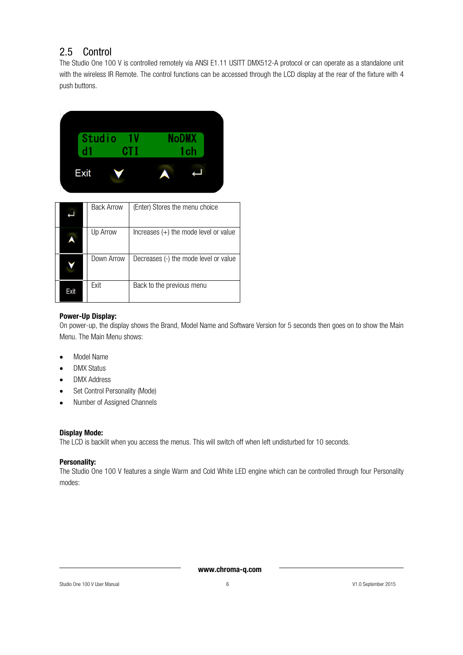## 2.5 Control

The Studio One 100 V is controlled remotely via ANSI E1.11 USITT DMX512-A protocol or can operate as a standalone unit with the wireless IR Remote. The control functions can be accessed through the LCD display at the rear of the fixture with 4 push buttons.



|      | <b>Back Arrow</b> | (Enter) Stores the menu choice          |
|------|-------------------|-----------------------------------------|
|      | Up Arrow          | Increases $(+)$ the mode level or value |
|      | Down Arrow        | Decreases (-) the mode level or value   |
| Exit | Exit              | Back to the previous menu               |

#### Power-Up Display:

On power-up, the display shows the Brand, Model Name and Software Version for 5 seconds then goes on to show the Main Menu. The Main Menu shows:

- Model Name
- DMX Status
- DMX Address
- Set Control Personality (Mode)
- Number of Assigned Channels

#### Display Mode:

The LCD is backlit when you access the menus. This will switch off when left undisturbed for 10 seconds.

#### Personality:

The Studio One 100 V features a single Warm and Cold White LED engine which can be controlled through four Personality modes: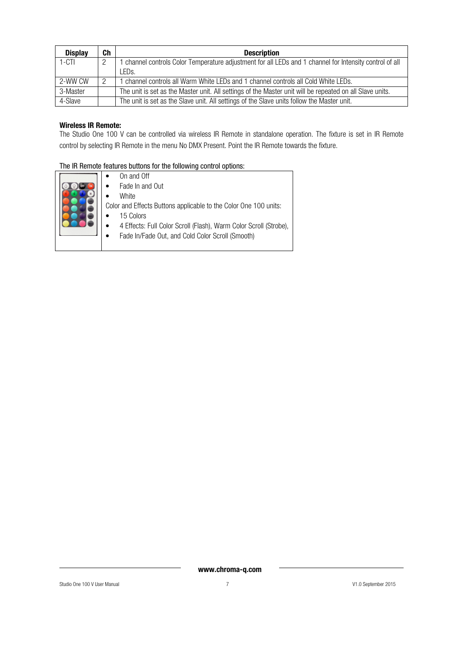| <b>Display</b> | Ch | <b>Description</b>                                                                                       |
|----------------|----|----------------------------------------------------------------------------------------------------------|
| $1 - CTI$      | 2  | 1 channel controls Color Temperature adjustment for all LEDs and 1 channel for Intensity control of all  |
|                |    | LEDs.                                                                                                    |
| 2-WW CW        | 2  | I channel controls all Warm White LEDs and 1 channel controls all Cold White LEDs.                       |
| 3-Master       |    | The unit is set as the Master unit. All settings of the Master unit will be repeated on all Slave units. |
| 4-Slave        |    | The unit is set as the Slave unit. All settings of the Slave units follow the Master unit.               |

#### Wireless IR Remote:

The Studio One 100 V can be controlled via wireless IR Remote in standalone operation. The fixture is set in IR Remote control by selecting IR Remote in the menu No DMX Present. Point the IR Remote towards the fixture.

#### The IR Remote features buttons for the following control options:

|  | On and Off<br>Fade In and Out<br>White<br>Color and Effects Buttons applicable to the Color One 100 units:<br>15 Colors<br>4 Effects: Full Color Scroll (Flash), Warm Color Scroll (Strobe),<br>Fade In/Fade Out, and Cold Color Scroll (Smooth) |
|--|--------------------------------------------------------------------------------------------------------------------------------------------------------------------------------------------------------------------------------------------------|
|--|--------------------------------------------------------------------------------------------------------------------------------------------------------------------------------------------------------------------------------------------------|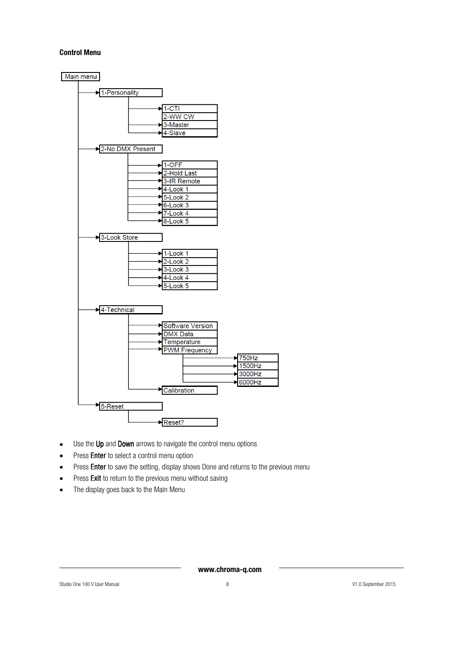#### Control Menu



- Use the Up and Down arrows to navigate the control menu options
- Press Enter to select a control menu option
- Press Enter to save the setting, display shows Done and returns to the previous menu
- Press Exit to return to the previous menu without saving
- The display goes back to the Main Menu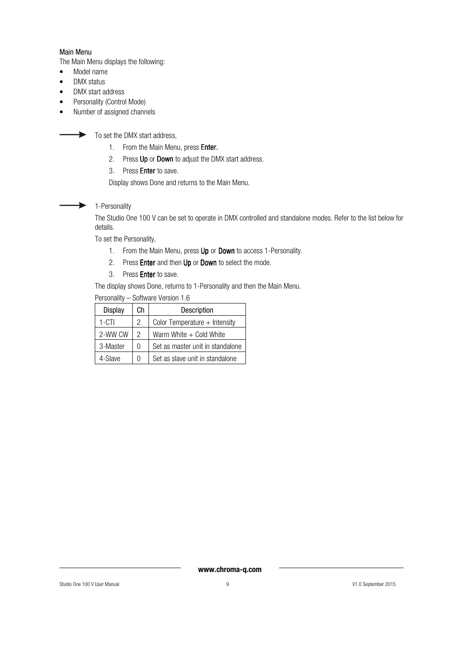#### Main Menu

The Main Menu displays the following:

- Model name
- DMX status
- DMX start address
- Personality (Control Mode)
- Number of assigned channels

 $\rightarrow$  To set the DMX start address,

- 1. From the Main Menu, press Enter.
- 2. Press Up or Down to adjust the DMX start address.
- 3. Press Enter to save.

Display shows Done and returns to the Main Menu.

#### $\blacktriangleright$ 1-Personality

The Studio One 100 V can be set to operate in DMX controlled and standalone modes. Refer to the list below for details.

To set the Personality,

- 1. From the Main Menu, press Up or Down to access 1-Personality.
- 2. Press **Enter** and then Up or Down to select the mode.
- 3. Press Enter to save.

The display shows Done, returns to 1-Personality and then the Main Menu.

| <b>Display</b> | Сh            | Description                      |  |
|----------------|---------------|----------------------------------|--|
| $1 - CTI$      | 2             | Color Temperature $+$ Intensity  |  |
| 2-WW CW        | $\mathcal{P}$ | Warm White $+$ Cold White        |  |
| 3-Master       | U             | Set as master unit in standalone |  |
| 4-Slave        | N             | Set as slave unit in standalone  |  |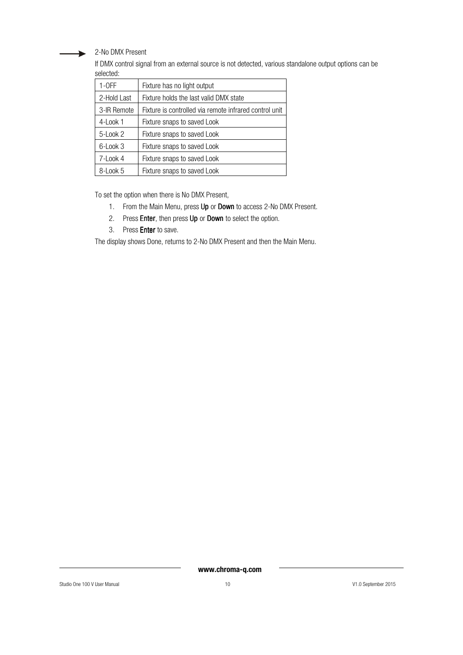2-No DMX Present

If DMX control signal from an external source is not detected, various standalone output options can be selected:

| $1-OFF$     | Fixture has no light output                            |
|-------------|--------------------------------------------------------|
| 2-Hold Last | Fixture holds the last valid DMX state                 |
| 3-IR Remote | Fixture is controlled via remote infrared control unit |
| 4-Look 1    | Fixture snaps to saved Look                            |
| 5-Look 2    | Fixture snaps to saved Look                            |
| $6$ -Look 3 | Fixture snaps to saved Look                            |
| 7-Look 4    | Fixture snaps to saved Look                            |
| 8-Look 5    | Fixture snaps to saved Look                            |

To set the option when there is No DMX Present,

- 1. From the Main Menu, press Up or Down to access 2-No DMX Present.
- 2. Press Enter, then press Up or Down to select the option.
- 3. Press Enter to save.

The display shows Done, returns to 2-No DMX Present and then the Main Menu.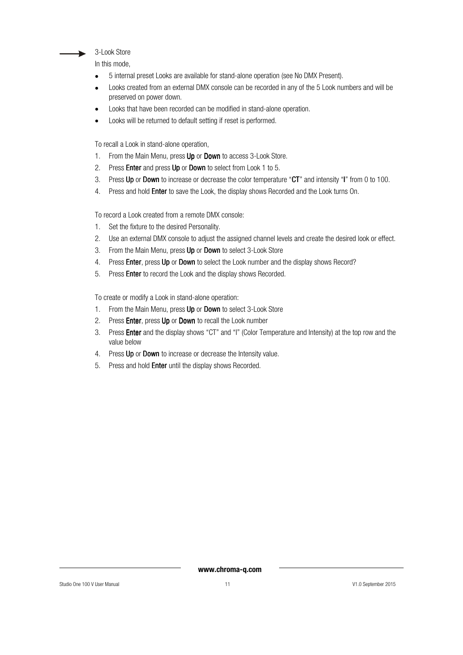

In this mode,

- 5 internal preset Looks are available for stand-alone operation (see No DMX Present).
- Looks created from an external DMX console can be recorded in any of the 5 Look numbers and will be preserved on power down.
- Looks that have been recorded can be modified in stand-alone operation.
- Looks will be returned to default setting if reset is performed.

To recall a Look in stand-alone operation,

- 1. From the Main Menu, press Up or Down to access 3-Look Store.
- 2. Press **Enter** and press **Up** or **Down** to select from Look 1 to 5.
- 3. Press Up or Down to increase or decrease the color temperature "CT" and intensity "I" from 0 to 100.
- 4. Press and hold **Enter** to save the Look, the display shows Recorded and the Look turns On.

To record a Look created from a remote DMX console:

- 1. Set the fixture to the desired Personality.
- 2. Use an external DMX console to adjust the assigned channel levels and create the desired look or effect.
- 3. From the Main Menu, press Up or Down to select 3-Look Store
- 4. Press Enter, press Up or Down to select the Look number and the display shows Record?
- 5. Press Enter to record the Look and the display shows Recorded.

To create or modify a Look in stand-alone operation:

- 1. From the Main Menu, press Up or Down to select 3-Look Store
- 2. Press Enter, press Up or Down to recall the Look number
- 3. Press Enter and the display shows "CT" and "I" (Color Temperature and Intensity) at the top row and the value below
- 4. Press Up or Down to increase or decrease the Intensity value.
- 5. Press and hold Enter until the display shows Recorded.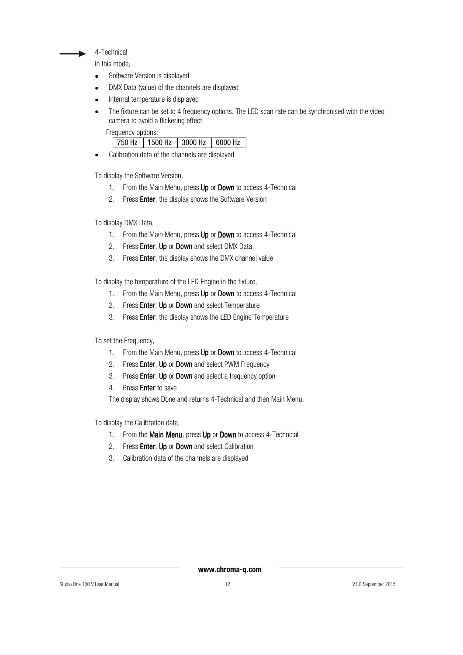4-Technical

In this mode,

- Software Version is displayed
- DMX Data (value) of the channels are displayed
- Internal temperature is displayed
- The fixture can be set to 4 frequency options. The LED scan rate can be synchronised with the video camera to avoid a flickering effect.

Frequency options:

| 1500 Hz<br>750 Hz | 3000 Hz | 6000 Hz |
|-------------------|---------|---------|
|-------------------|---------|---------|

• Calibration data of the channels are displayed

To display the Software Version,

- 1. From the Main Menu, press Up or Down to access 4-Technical
- 2. Press Enter, the display shows the Software Version

To display DMX Data,

- 1. From the Main Menu, press Up or Down to access 4-Technical
- 2. Press **Enter, Up** or **Down** and select DMX Data
- 3. Press Enter, the display shows the DMX channel value

To display the temperature of the LED Engine in the fixture,

- 1. From the Main Menu, press Up or Down to access 4-Technical
- 2. Press Enter, Up or Down and select Temperature
- 3. Press **Enter**, the display shows the LED Engine Temperature

To set the Frequency,

- 1. From the Main Menu, press Up or Down to access 4-Technical
- 2. Press **Enter, Up** or **Down** and select PWM Frequency
- 3. Press Enter, Up or Down and select a frequency option
- 4. Press Enter to save

The display shows Done and returns 4-Technical and then Main Menu.

To display the Calibration data,

- 1. From the Main Menu, press Up or Down to access  $4$ -Technical
- 2. Press Enter, Up or Down and select Calibration
- 3. Calibration data of the channels are displayed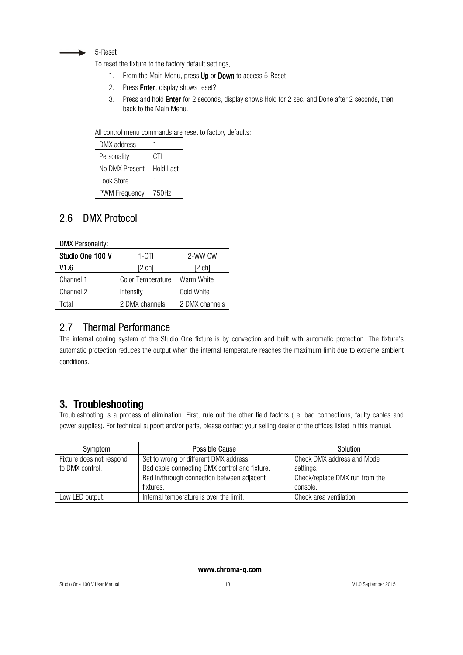

To reset the fixture to the factory default settings,

- 1. From the Main Menu, press Up or Down to access 5-Reset
- 2. Press Enter, display shows reset?
- 3. Press and hold **Enter** for 2 seconds, display shows Hold for 2 sec. and Done after 2 seconds, then back to the Main Menu.

All control menu commands are reset to factory defaults:

| DMX address          |                  |
|----------------------|------------------|
| Personality          | CTI              |
| No DMX Present       | <b>Hold Last</b> |
| Look Store           |                  |
| <b>PWM Frequency</b> | 750Hz            |

## 2.6 DMX Protocol

DMX Personality:

| Studio One 100 V | 1-CTI                    | 2-WW CW        |
|------------------|--------------------------|----------------|
| V1.6             | [2 ch]                   | [2 ch]         |
| Channel 1        | <b>Color Temperature</b> | Warm White     |
| Channel 2        | Intensity                | Cold White     |
| `otal            | 2 DMX channels           | 2 DMX channels |

## 2.7 Thermal Performance

The internal cooling system of the Studio One fixture is by convection and built with automatic protection. The fixture's automatic protection reduces the output when the internal temperature reaches the maximum limit due to extreme ambient conditions.

## 3. Troubleshooting

Troubleshooting is a process of elimination. First, rule out the other field factors (i.e. bad connections, faulty cables and power supplies). For technical support and/or parts, please contact your selling dealer or the offices listed in this manual.

| Symptom                  | Possible Cause                                | Solution                       |
|--------------------------|-----------------------------------------------|--------------------------------|
| Fixture does not respond | Set to wrong or different DMX address.        | Check DMX address and Mode     |
| to DMX control.          | Bad cable connecting DMX control and fixture. | settings.                      |
|                          | Bad in/through connection between adjacent    | Check/replace DMX run from the |
|                          | fixtures.                                     | console.                       |
| Low LED output.          | Internal temperature is over the limit.       | Check area ventilation.        |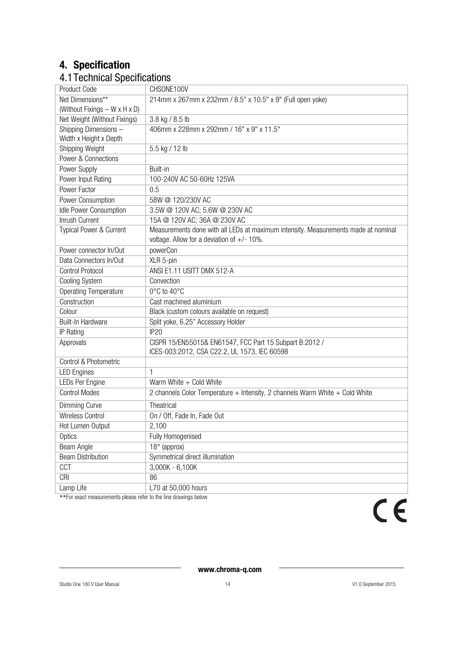## 4. Specification

## 4.1Technical Specifications

| Product Code                  | CHSONE100V                                                                         |
|-------------------------------|------------------------------------------------------------------------------------|
| Net Dimensions**              | 214mm x 267mm x 232mm / 8.5" x 10.5" x 9" (Full open yoke)                         |
| (Without Fixings - W x H x D) |                                                                                    |
| Net Weight (Without Fixings)  | 3.8 kg / 8.5 lb                                                                    |
| Shipping Dimensions-          | 406mm x 228mm x 292mm / 16" x 9" x 11.5"                                           |
| Width x Height x Depth        |                                                                                    |
| Shipping Weight               | 5.5 kg / 12 lb                                                                     |
| Power & Connections           |                                                                                    |
| Power Supply                  | Built-in                                                                           |
| Power Input Rating            | 100-240V AC 50-60Hz 125VA                                                          |
| Power Factor                  | 0.5                                                                                |
| Power Consumption             | 58W @ 120/230V AC                                                                  |
| Idle Power Consumption        | 3.5W @ 120V AC; 5.6W @ 230V AC                                                     |
| Inrush Current                | 15A @ 120V AC; 36A @ 230V AC                                                       |
| Typical Power & Current       | Measurements done with all LEDs at maximum intensity. Measurements made at nominal |
|                               | voltage. Allow for a deviation of $+/- 10\%$ .                                     |
| Power connector In/Out        | powerCon                                                                           |
| Data Connectors In/Out        | XLR 5-pin                                                                          |
| <b>Control Protocol</b>       | ANSI E1.11 USITT DMX 512-A                                                         |
| Cooling System                | Convection                                                                         |
| <b>Operating Temperature</b>  | 0°C to 40°C                                                                        |
| Construction                  | Cast machined aluminium                                                            |
| Colour                        | Black (custom colours available on request)                                        |
| <b>Built-In Hardware</b>      | Split yoke, 6.25" Accessory Holder                                                 |
| <b>IP Rating</b>              | <b>IP20</b>                                                                        |
| Approvals                     | CISPR 15/EN55015& EN61547, FCC Part 15 Subpart B:2012 /                            |
|                               | ICES-003:2012, CSA C22.2, UL 1573, IEC 60598                                       |
| Control & Photometric         |                                                                                    |
| <b>LED Engines</b>            | 1                                                                                  |
| LEDs Per Engine               | Warm White + Cold White                                                            |
| <b>Control Modes</b>          | 2 channels Color Temperature + Intensity, 2 channels Warm White + Cold White       |
| Dimming Curve                 | Theatrical                                                                         |
| Wireless Control              | On / Off, Fade In, Fade Out                                                        |
| Hot Lumen Output              | 2,100                                                                              |
| Optics                        | Fully Homogenised                                                                  |
| Beam Angle                    | 18° (approx)                                                                       |
| <b>Beam Distribution</b>      | Symmetrical direct illumination                                                    |
| CCT                           | $3,000K - 6,100K$                                                                  |
| CRI                           | 86                                                                                 |
| Lamp Life                     | L70 at 50,000 hours                                                                |
|                               |                                                                                    |

\*\*For exact measurements please refer to the line drawings below

 $c \in$